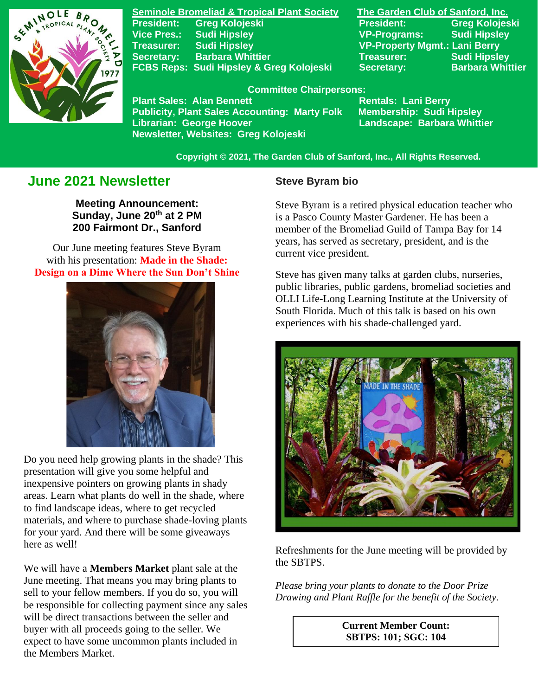

**Seminole Bromeliad & Tropical Plant Society The Garden Club of Sanford, Inc. Vice Pres.: Sudi Hipsley VP-Programs: Sudi Hipsley Treasurer: Sudi Hipsley VP-Property Mgmt.: Lani Berry Secretary:** Barbara Whittier **Network Treasurer:** Sudi Hipsley **FCBS Reps: Sudi Hipsley & Greg Kolojeski Secretary: Barbara Whittier** 

**President: Greg Kolojeski President: Greg Kolojeski** 

#### **Committee Chairpersons:**

Plant Sales: Alan Bennett<br>Publicity, Plant Sales Accounting: Marty Folk Membership: Sudi Hipsley **Publicity, Plant Sales Accounting: Marty Folk Librarian: George Hoover Landscape: Barbara Whittier Newsletter, Websites: Greg Kolojeski**

 **Copyright © 2021, The Garden Club of Sanford, Inc., All Rights Reserved.**

# **June 2021 Newsletter**

**Meeting Announcement: Sunday, June 20th at 2 PM 200 Fairmont Dr., Sanford**

**Design on a Dime Where the Sun Don't Shine** Our June meeting features Steve Byram with his presentation: **Made in the Shade:**



Do you need help growing plants in the shade? This presentation will give you some helpful and inexpensive pointers on growing plants in shady areas. Learn what plants do well in the shade, where to find landscape ideas, where to get recycled materials, and where to purchase shade-loving plants for your yard. And there will be some giveaways here as well!

We will have a **Members Market** plant sale at the June meeting. That means you may bring plants to sell to your fellow members. If you do so, you will be responsible for collecting payment since any sales will be direct transactions between the seller and buyer with all proceeds going to the seller. We expect to have some uncommon plants included in the Members Market.

#### **Steve Byram bio**

Steve Byram is a retired physical education teacher who is a Pasco County Master Gardener. He has been a member of the Bromeliad Guild of Tampa Bay for 14 years, has served as secretary, president, and is the current vice president.

Steve has given many talks at garden clubs, nurseries, public libraries, public gardens, bromeliad societies and OLLI Life-Long Learning Institute at the University of South Florida. Much of this talk is based on his own experiences with his shade-challenged yard.



Refreshments for the June meeting will be provided by the SBTPS.

*Please bring your plants to donate to the Door Prize Drawing and Plant Raffle for the benefit of the Society.*

> **Current Member Count: SBTPS: 101; SGC: 104**